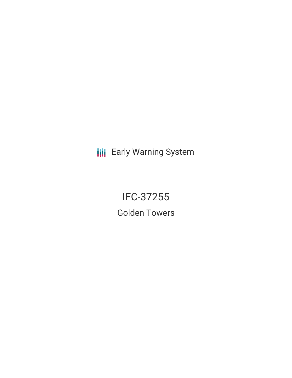**III** Early Warning System

IFC-37255 Golden Towers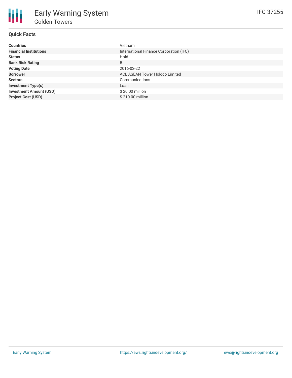# **Quick Facts**

| <b>Countries</b>               | Vietnam                                 |
|--------------------------------|-----------------------------------------|
| <b>Financial Institutions</b>  | International Finance Corporation (IFC) |
| <b>Status</b>                  | Hold                                    |
| <b>Bank Risk Rating</b>        | B                                       |
| <b>Voting Date</b>             | 2016-02-22                              |
| <b>Borrower</b>                | ACL ASEAN Tower Holdco Limited          |
| <b>Sectors</b>                 | Communications                          |
| <b>Investment Type(s)</b>      | Loan                                    |
| <b>Investment Amount (USD)</b> | \$20.00 million                         |
| <b>Project Cost (USD)</b>      | \$210.00 million                        |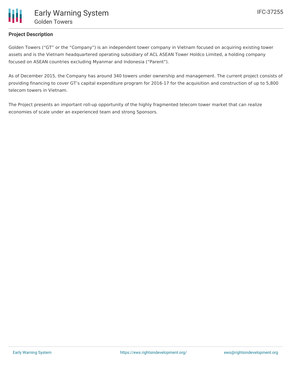

### **Project Description**

Golden Towers ("GT" or the "Company") is an independent tower company in Vietnam focused on acquiring existing tower assets and is the Vietnam headquartered operating subsidiary of ACL ASEAN Tower Holdco Limited, a holding company focused on ASEAN countries excluding Myanmar and Indonesia ("Parent").

As of December 2015, the Company has around 340 towers under ownership and management. The current project consists of providing financing to cover GT's capital expenditure program for 2016-17 for the acquisition and construction of up to 5,800 telecom towers in Vietnam.

The Project presents an important roll-up opportunity of the highly fragmented telecom tower market that can realize economies of scale under an experienced team and strong Sponsors.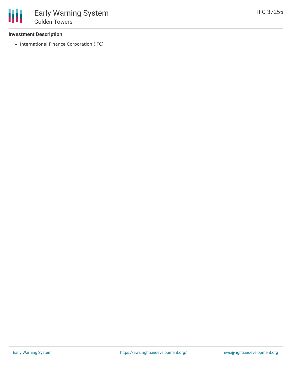#### **Investment Description**

• International Finance Corporation (IFC)